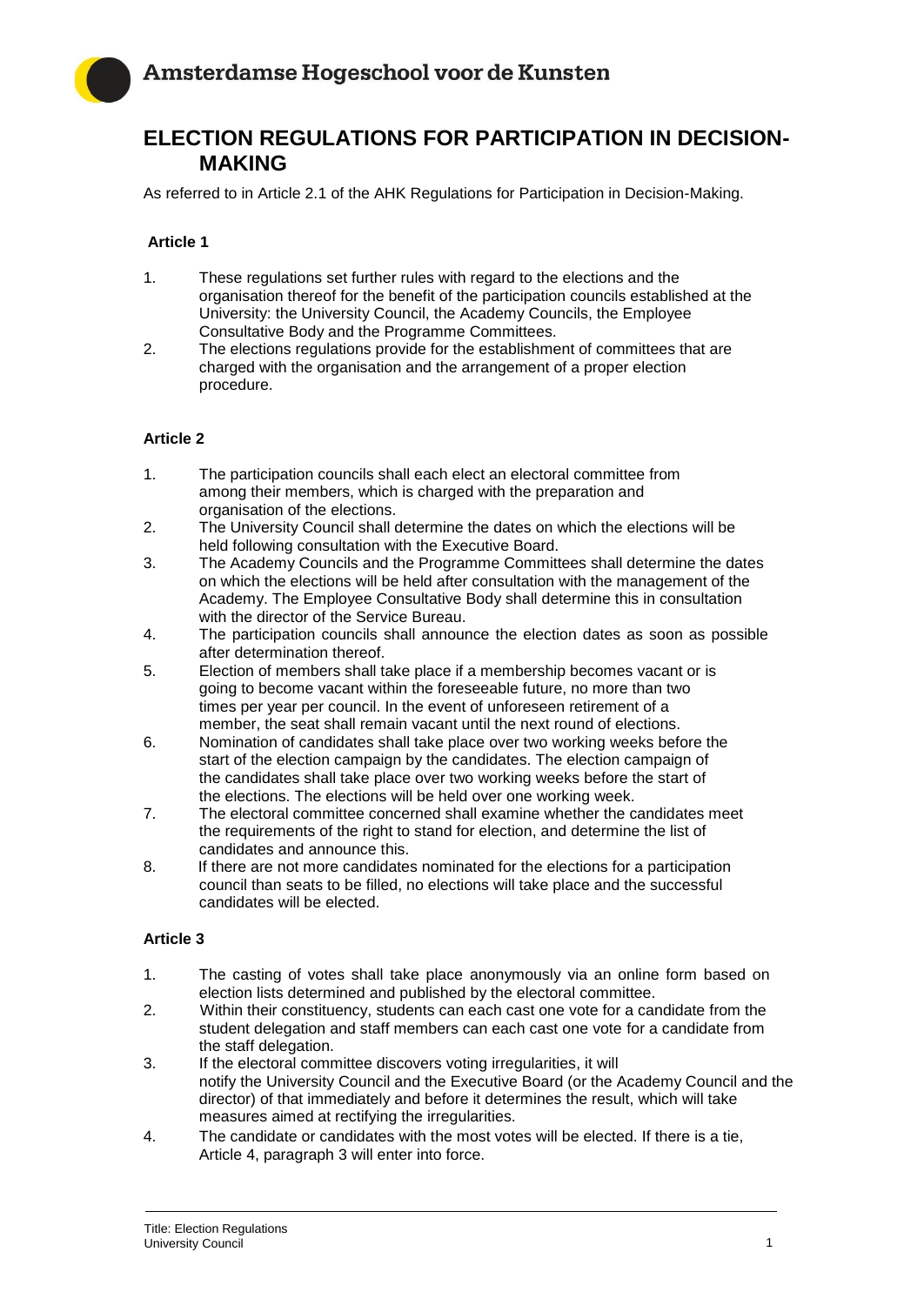

# **ELECTION REGULATIONS FOR PARTICIPATION IN DECISION-MAKING**

As referred to in Article 2.1 of the AHK Regulations for Participation in Decision-Making.

## **Article 1**

- 1. These regulations set further rules with regard to the elections and the organisation thereof for the benefit of the participation councils established at the University: the University Council, the Academy Councils, the Employee Consultative Body and the Programme Committees.
- 2. The elections regulations provide for the establishment of committees that are charged with the organisation and the arrangement of a proper election procedure.

## **Article 2**

- 1. The participation councils shall each elect an electoral committee from among their members, which is charged with the preparation and organisation of the elections.
- 2. The University Council shall determine the dates on which the elections will be held following consultation with the Executive Board.
- 3. The Academy Councils and the Programme Committees shall determine the dates on which the elections will be held after consultation with the management of the Academy. The Employee Consultative Body shall determine this in consultation with the director of the Service Bureau.
- 4. The participation councils shall announce the election dates as soon as possible after determination thereof.
- 5. Election of members shall take place if a membership becomes vacant or is going to become vacant within the foreseeable future, no more than two times per year per council. In the event of unforeseen retirement of a member, the seat shall remain vacant until the next round of elections.
- 6. Nomination of candidates shall take place over two working weeks before the start of the election campaign by the candidates. The election campaign of the candidates shall take place over two working weeks before the start of the elections. The elections will be held over one working week.
- 7. The electoral committee concerned shall examine whether the candidates meet the requirements of the right to stand for election, and determine the list of candidates and announce this.
- 8. If there are not more candidates nominated for the elections for a participation council than seats to be filled, no elections will take place and the successful candidates will be elected.

## **Article 3**

- 1. The casting of votes shall take place anonymously via an online form based on election lists determined and published by the electoral committee.
- 2. Within their constituency, students can each cast one vote for a candidate from the student delegation and staff members can each cast one vote for a candidate from the staff delegation.
- 3. If the electoral committee discovers voting irregularities, it will notify the University Council and the Executive Board (or the Academy Council and the director) of that immediately and before it determines the result, which will take measures aimed at rectifying the irregularities.
- 4. The candidate or candidates with the most votes will be elected. If there is a tie, Article 4, paragraph 3 will enter into force.